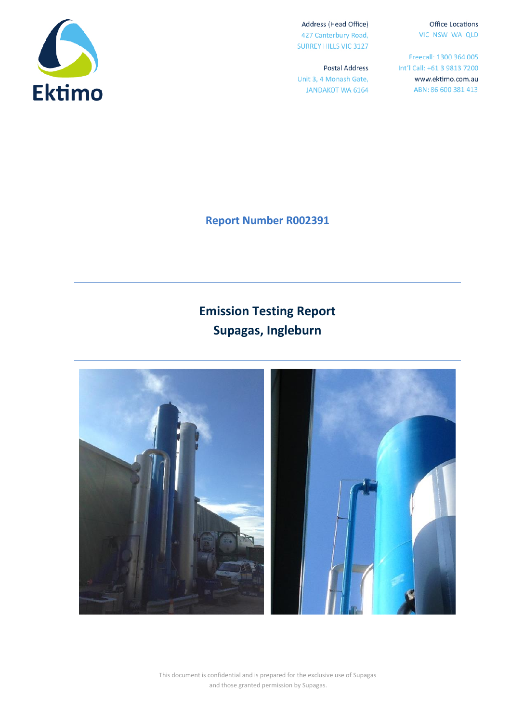**Office Locations** VIC NSW WA QLD

Freecall: 1300 364 005 Int'l Call: +61 3 9813 7200 www.ektimo.com.au ABN: 86 600 381 413



**Report Number R002391**

Address (Head Office)

427 Canterbury Road, **SURREY HILLS VIC 3127** 

Unit 3, 4 Monash Gate,

**JANDAKOT WA 6164** 

**Postal Address** 

# **Emission Testing Report Supagas, Ingleburn**



This document is confidential and is prepared for the exclusive use of Supagas and those granted permission by Supagas.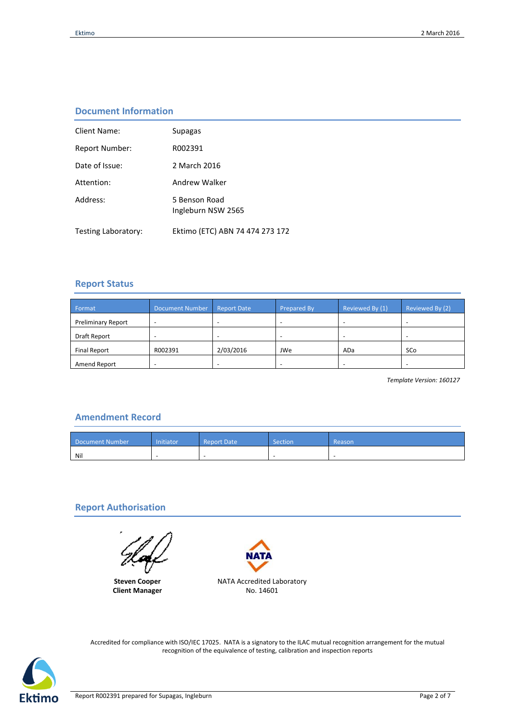# **Document Information**

| Client Name:          | Supagas                             |
|-----------------------|-------------------------------------|
| <b>Report Number:</b> | R002391                             |
| Date of Issue:        | 2 March 2016                        |
| Attention:            | Andrew Walker                       |
| Address:              | 5 Benson Road<br>Ingleburn NSW 2565 |
| Testing Laboratory:   | Ektimo (ETC) ABN 74 474 273 172     |

#### **Report Status**

| Format                    | <b>Document Number</b> | <b>Report Date</b> | Prepared By | Reviewed By (1) | Reviewed By (2) |
|---------------------------|------------------------|--------------------|-------------|-----------------|-----------------|
| <b>Preliminary Report</b> |                        |                    |             |                 |                 |
| Draft Report              |                        |                    |             | -               | ۰               |
| <b>Final Report</b>       | R002391                | 2/03/2016          | JWe         | ADa             | SCo             |
| Amend Report              |                        |                    |             | -               |                 |

*Template Version: 160127*

# **Amendment Record**

| Document Number | Initiator<br><b>Report Date</b> |          | Section | Reason |
|-----------------|---------------------------------|----------|---------|--------|
| Nil             | $\overline{\phantom{a}}$        | <b>.</b> |         |        |

## **Report Authorisation**

**Steven Cooper Client Manager**



Accredited for compliance with ISO/IEC 17025. NATA is a signatory to the ILAC mutual recognition arrangement for the mutual recognition of the equivalence of testing, calibration and inspection reports

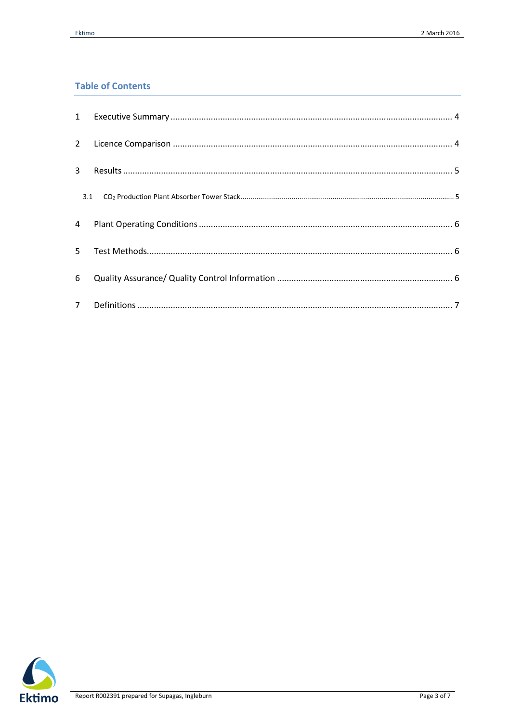# **Table of Contents**

| $2^{\circ}$    |  |
|----------------|--|
| 3              |  |
| 3.1            |  |
| 4              |  |
| 5.             |  |
| 6              |  |
| 7 <sup>7</sup> |  |

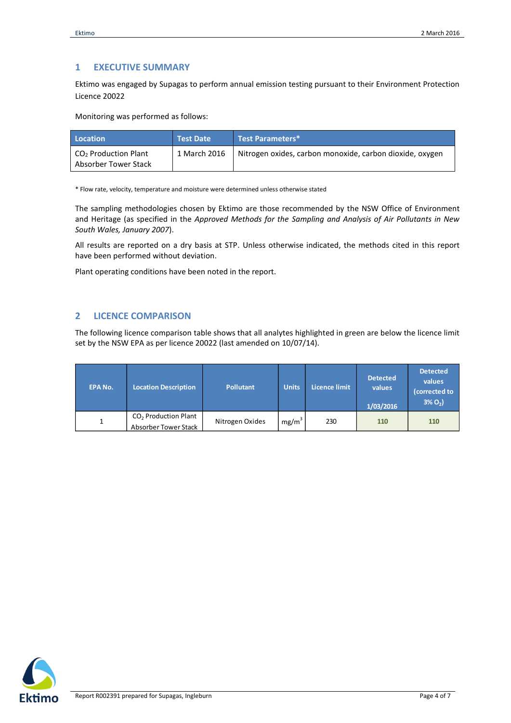## <span id="page-3-0"></span>**1 EXECUTIVE SUMMARY**

Ektimo was engaged by Supagas to perform annual emission testing pursuant to their Environment Protection Licence 20022

Monitoring was performed as follows:

| Location                                       | <b>Test Date</b> | Test Parameters*                                         |
|------------------------------------------------|------------------|----------------------------------------------------------|
| $CO2$ Production Plant<br>Absorber Tower Stack | 1 March 2016     | Nitrogen oxides, carbon monoxide, carbon dioxide, oxygen |

\* Flow rate, velocity, temperature and moisture were determined unless otherwise stated

The sampling methodologies chosen by Ektimo are those recommended by the NSW Office of Environment and Heritage (as specified in the *Approved Methods for the Sampling and Analysis of Air Pollutants in New South Wales, January 2007*).

All results are reported on a dry basis at STP. Unless otherwise indicated, the methods cited in this report have been performed without deviation.

Plant operating conditions have been noted in the report.

#### <span id="page-3-1"></span>**2 LICENCE COMPARISON**

The following licence comparison table shows that all analytes highlighted in green are below the licence limit set by the NSW EPA as per licence 20022 (last amended on 10/07/14).

| <b>EPA No.</b> | <b>Location Description</b>                              | <b>Pollutant</b> | <b>Units</b>      | Licence limit | <b>Detected</b><br>values<br>1/03/2016 | <b>Detected</b><br>values<br>(corrected to<br>$3\% O_{2}$ |
|----------------|----------------------------------------------------------|------------------|-------------------|---------------|----------------------------------------|-----------------------------------------------------------|
| 1              | CO <sub>2</sub> Production Plant<br>Absorber Tower Stack | Nitrogen Oxides  | mg/m <sup>3</sup> | 230           | 110                                    | 110                                                       |

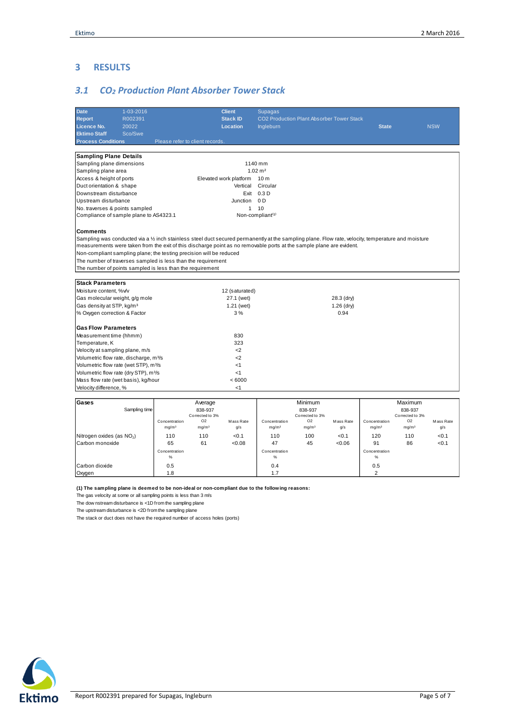## <span id="page-4-0"></span>**3 RESULTS**

# <span id="page-4-1"></span>*3.1 CO<sup>2</sup> Production Plant Absorber Tower Stack*

| Date                                                                                                                                                | 1-03-2016     |                                    |                                     | <b>Client</b>          | <b>Supagas</b>                          |                                                  |                  |                                    |                                     |                  |  |
|-----------------------------------------------------------------------------------------------------------------------------------------------------|---------------|------------------------------------|-------------------------------------|------------------------|-----------------------------------------|--------------------------------------------------|------------------|------------------------------------|-------------------------------------|------------------|--|
| <b>Report</b>                                                                                                                                       | R002391       |                                    |                                     | <b>Stack ID</b>        |                                         | <b>CO2 Production Plant Absorber Tower Stack</b> |                  |                                    |                                     |                  |  |
| Licence No.                                                                                                                                         | 20022         |                                    |                                     | Location               | <b>NSW</b><br>Ingleburn<br><b>State</b> |                                                  |                  |                                    |                                     |                  |  |
| <b>Ektimo Staff</b>                                                                                                                                 | Sco/Swe       |                                    |                                     |                        |                                         |                                                  |                  |                                    |                                     |                  |  |
| <b>Process Conditions</b>                                                                                                                           |               |                                    | Please refer to client records.     |                        |                                         |                                                  |                  |                                    |                                     |                  |  |
|                                                                                                                                                     |               |                                    |                                     |                        |                                         |                                                  |                  |                                    |                                     |                  |  |
| <b>Sampling Plane Details</b>                                                                                                                       |               |                                    |                                     |                        |                                         |                                                  |                  |                                    |                                     |                  |  |
| Sampling plane dimensions<br>1140 mm                                                                                                                |               |                                    |                                     |                        |                                         |                                                  |                  |                                    |                                     |                  |  |
| Sampling plane area                                                                                                                                 |               |                                    |                                     |                        | $1.02 \text{ m}^2$                      |                                                  |                  |                                    |                                     |                  |  |
| Access & height of ports                                                                                                                            |               |                                    |                                     | Elevated work platform | 10 <sub>m</sub>                         |                                                  |                  |                                    |                                     |                  |  |
| Duct orientation & shape                                                                                                                            |               |                                    |                                     | Vertical               | Circular                                |                                                  |                  |                                    |                                     |                  |  |
| Downstream disturbance                                                                                                                              |               |                                    |                                     |                        | Exit 0.3 D                              |                                                  |                  |                                    |                                     |                  |  |
| Upstream disturbance                                                                                                                                |               |                                    |                                     | Junction               | 0 <sub>D</sub>                          |                                                  |                  |                                    |                                     |                  |  |
| No. traverses & points sampled                                                                                                                      |               |                                    |                                     | $\mathbf{1}$           | 10                                      |                                                  |                  |                                    |                                     |                  |  |
| Compliance of sample plane to AS4323.1                                                                                                              |               |                                    |                                     |                        | Non-compliant <sup>(1)</sup>            |                                                  |                  |                                    |                                     |                  |  |
|                                                                                                                                                     |               |                                    |                                     |                        |                                         |                                                  |                  |                                    |                                     |                  |  |
| <b>Comments</b>                                                                                                                                     |               |                                    |                                     |                        |                                         |                                                  |                  |                                    |                                     |                  |  |
| Sampling was conducted via a 1/2 inch stainless steel duct secured permanently at the sampling plane. Flow rate, velocity, temperature and moisture |               |                                    |                                     |                        |                                         |                                                  |                  |                                    |                                     |                  |  |
| measurements were taken from the exit of this discharge point as no removable ports at the sample plane are evident.                                |               |                                    |                                     |                        |                                         |                                                  |                  |                                    |                                     |                  |  |
| Non-compliant sampling plane; the testing precision will be reduced                                                                                 |               |                                    |                                     |                        |                                         |                                                  |                  |                                    |                                     |                  |  |
| The number of traverses sampled is less than the requirement                                                                                        |               |                                    |                                     |                        |                                         |                                                  |                  |                                    |                                     |                  |  |
| The number of points sampled is less than the requirement                                                                                           |               |                                    |                                     |                        |                                         |                                                  |                  |                                    |                                     |                  |  |
| <b>Stack Parameters</b>                                                                                                                             |               |                                    |                                     |                        |                                         |                                                  |                  |                                    |                                     |                  |  |
| Moisture content, %v/v                                                                                                                              |               |                                    |                                     | 12 (saturated)         |                                         |                                                  |                  |                                    |                                     |                  |  |
| Gas molecular weight, g/g mole                                                                                                                      |               |                                    |                                     | 27.1 (wet)             | 28.3 (dry)                              |                                                  |                  |                                    |                                     |                  |  |
| Gas density at STP, kg/m <sup>3</sup>                                                                                                               |               |                                    |                                     | 1.21 (wet)             | $1.26$ (dry)                            |                                                  |                  |                                    |                                     |                  |  |
| % Oxygen correction & Factor                                                                                                                        |               |                                    |                                     | 3%                     |                                         |                                                  | 0.94             |                                    |                                     |                  |  |
|                                                                                                                                                     |               |                                    |                                     |                        |                                         |                                                  |                  |                                    |                                     |                  |  |
| <b>Gas Flow Parameters</b>                                                                                                                          |               |                                    |                                     |                        |                                         |                                                  |                  |                                    |                                     |                  |  |
| Measurement time (hhmm)                                                                                                                             |               |                                    |                                     | 830                    |                                         |                                                  |                  |                                    |                                     |                  |  |
| Temperature, K                                                                                                                                      |               |                                    |                                     | 323                    |                                         |                                                  |                  |                                    |                                     |                  |  |
| Velocity at sampling plane, m/s                                                                                                                     |               |                                    |                                     | $2$                    |                                         |                                                  |                  |                                    |                                     |                  |  |
| Volumetric flow rate, discharge, m <sup>3</sup> /s                                                                                                  |               |                                    |                                     | $\leq$                 |                                         |                                                  |                  |                                    |                                     |                  |  |
| Volumetric flow rate (wet STP), m <sup>3</sup> /s                                                                                                   |               |                                    |                                     | < 1                    |                                         |                                                  |                  |                                    |                                     |                  |  |
| Volumetric flow rate (dry STP), m <sup>3</sup> /s                                                                                                   |               |                                    |                                     | <1                     |                                         |                                                  |                  |                                    |                                     |                  |  |
| Mass flow rate (wet basis), kg/hour                                                                                                                 |               |                                    |                                     | <6000                  |                                         |                                                  |                  |                                    |                                     |                  |  |
| Velocity difference, %                                                                                                                              |               |                                    |                                     | <1                     |                                         |                                                  |                  |                                    |                                     |                  |  |
|                                                                                                                                                     |               |                                    |                                     |                        |                                         |                                                  |                  |                                    |                                     |                  |  |
| Gases                                                                                                                                               |               |                                    | Average                             |                        |                                         | Minimum                                          |                  |                                    | Maximum                             |                  |  |
|                                                                                                                                                     | Sampling time |                                    | 838-937                             |                        |                                         | 838-937                                          |                  |                                    | 838-937                             |                  |  |
|                                                                                                                                                     |               |                                    | Corrected to 3%                     |                        |                                         | Corrected to 3%                                  |                  |                                    | Corrected to 3%                     |                  |  |
|                                                                                                                                                     |               | Concentration<br>mg/m <sup>3</sup> | O <sub>2</sub><br>mg/m <sup>3</sup> | Mass Rate<br>g/s       | Concentration                           | O <sub>2</sub><br>mg/m <sup>3</sup>              | Mass Rate<br>g/s | Concentration<br>mg/m <sup>3</sup> | O <sub>2</sub><br>mg/m <sup>3</sup> | Mass Rate<br>g/s |  |
|                                                                                                                                                     |               |                                    |                                     |                        | mg/m <sup>3</sup>                       |                                                  |                  |                                    |                                     |                  |  |
| Nitrogen oxides (as NO <sub>2</sub> )                                                                                                               |               | 110                                | 110                                 | < 0.1                  | 110                                     | 100                                              | < 0.1            | 120                                | 110                                 | < 0.1            |  |
| Carbon monoxide                                                                                                                                     |               | 65                                 | 61                                  | <0.08                  | 47                                      | 45                                               | <0.06            | 91                                 | 86                                  | < 0.1            |  |
|                                                                                                                                                     |               | Concentration<br>$\%$              |                                     |                        | Concentration<br>$\%$                   |                                                  |                  | Concentration<br>$\%$              |                                     |                  |  |
|                                                                                                                                                     |               |                                    |                                     |                        |                                         |                                                  |                  |                                    |                                     |                  |  |
| Carbon dioxide                                                                                                                                      |               | 0.5                                |                                     |                        | 0.4                                     |                                                  |                  | 0.5                                |                                     |                  |  |
| Oxygen                                                                                                                                              |               | 1.8                                |                                     |                        | 1.7                                     |                                                  |                  | $\overline{2}$                     |                                     |                  |  |
|                                                                                                                                                     |               |                                    |                                     |                        |                                         |                                                  |                  |                                    |                                     |                  |  |

**(1) The sampling plane is deemed to be non-ideal or non-compliant due to the following reasons:**

The gas velocity at some or all sampling points is less than 3 m/s

The dow nstream disturbance is <1D from the sampling plane

The upstream disturbance is <2D from the sampling plane

The stack or duct does not have the required number of access holes (ports)

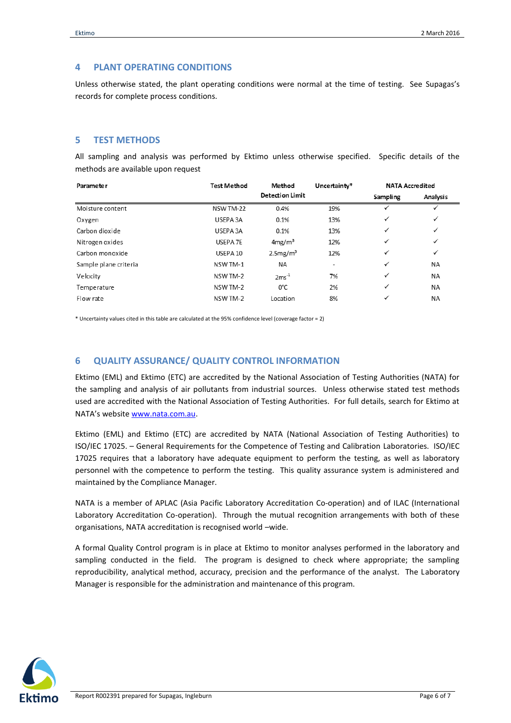#### <span id="page-5-0"></span>**4 PLANT OPERATING CONDITIONS**

Unless otherwise stated, the plant operating conditions were normal at the time of testing. See Supagas's records for complete process conditions.

#### <span id="page-5-1"></span>**5 TEST METHODS**

All sampling and analysis was performed by Ektimo unless otherwise specified. Specific details of the methods are available upon request

| <b>Parameter</b>      | <b>Test Method</b><br>Method |                        | Uncertainty* | <b>NATA Accredited</b> |           |
|-----------------------|------------------------------|------------------------|--------------|------------------------|-----------|
|                       |                              | <b>Detection Limit</b> |              | Sampling               | Analysis  |
| Moisture content      | NSW TM-22                    | 0.4%                   | 19%          | ✓                      | ✓         |
| Oxygen                | USEPA 3A                     | 0.1%                   | 13%          | ✓                      | ✓         |
| Carbon dioxide        | USEPA 3A                     | 0.1%                   | 13%          | ✓                      | ✓         |
| Nitrogen oxides       | USEPA 7E                     | 4mg/m <sup>3</sup>     | 12%          | ✓                      | ✓         |
| Carbon monoxide       | USEPA 10                     | 2.5mg/m <sup>3</sup>   | 12%          | ✓                      | ✓         |
| Sample plane criteria | NSW TM-1                     | ΝA                     | ٠            | $\checkmark$           | <b>NA</b> |
| Velocity              | NSW TM-2                     | $2ms^{-1}$             | 7%           | ✓                      | NA        |
| Temperature           | NSW TM-2                     | $0^{\circ}$ C          | 2%           | ✓                      | <b>NA</b> |
| Flow rate             | NSW TM-2                     | Location               | 8%           | ✓                      | <b>NA</b> |

\* Uncertainty values cited in this table are calculated at the 95% confidence level (coverage factor = 2)

## <span id="page-5-2"></span>**6 QUALITY ASSURANCE/ QUALITY CONTROL INFORMATION**

Ektimo (EML) and Ektimo (ETC) are accredited by the National Association of Testing Authorities (NATA) for the sampling and analysis of air pollutants from industrial sources. Unless otherwise stated test methods used are accredited with the National Association of Testing Authorities. For full details, search for Ektimo at NATA's website [www.nata.com.au.](http://www.nata.com.au/)

Ektimo (EML) and Ektimo (ETC) are accredited by NATA (National Association of Testing Authorities) to ISO/IEC 17025. – General Requirements for the Competence of Testing and Calibration Laboratories. ISO/IEC 17025 requires that a laboratory have adequate equipment to perform the testing, as well as laboratory personnel with the competence to perform the testing. This quality assurance system is administered and maintained by the Compliance Manager.

NATA is a member of APLAC (Asia Pacific Laboratory Accreditation Co-operation) and of ILAC (International Laboratory Accreditation Co-operation). Through the mutual recognition arrangements with both of these organisations, NATA accreditation is recognised world –wide.

A formal Quality Control program is in place at Ektimo to monitor analyses performed in the laboratory and sampling conducted in the field. The program is designed to check where appropriate; the sampling reproducibility, analytical method, accuracy, precision and the performance of the analyst. The Laboratory Manager is responsible for the administration and maintenance of this program.